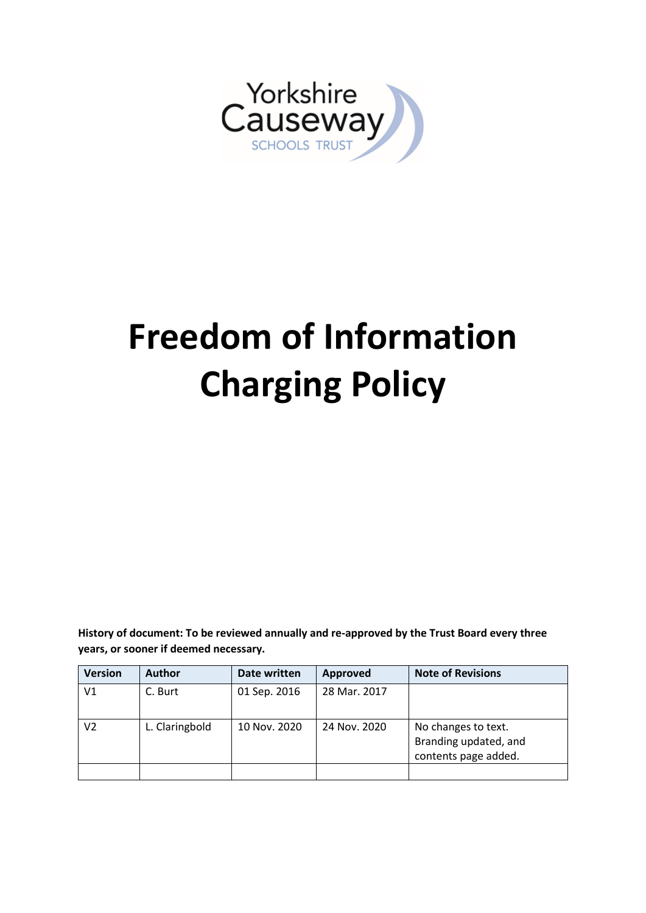

# **Freedom of Information Charging Policy**

**History of document: To be reviewed annually and re-approved by the Trust Board every three years, or sooner if deemed necessary.**

| <b>Version</b> | <b>Author</b>  | Date written | Approved     | <b>Note of Revisions</b>                                             |
|----------------|----------------|--------------|--------------|----------------------------------------------------------------------|
| V1             | C. Burt        | 01 Sep. 2016 | 28 Mar. 2017 |                                                                      |
| V2             | L. Claringbold | 10 Nov. 2020 | 24 Nov. 2020 | No changes to text.<br>Branding updated, and<br>contents page added. |
|                |                |              |              |                                                                      |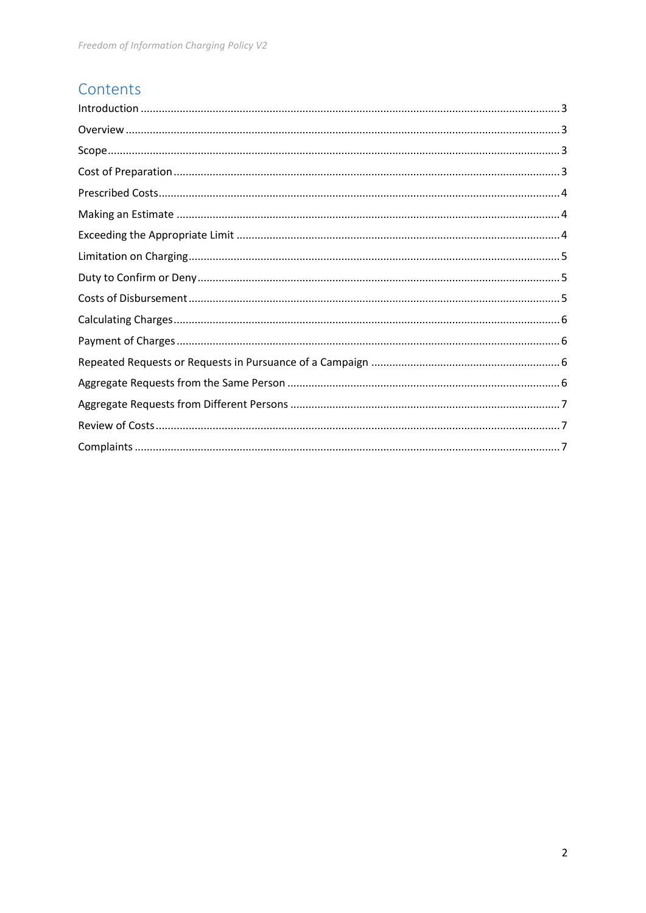# Contents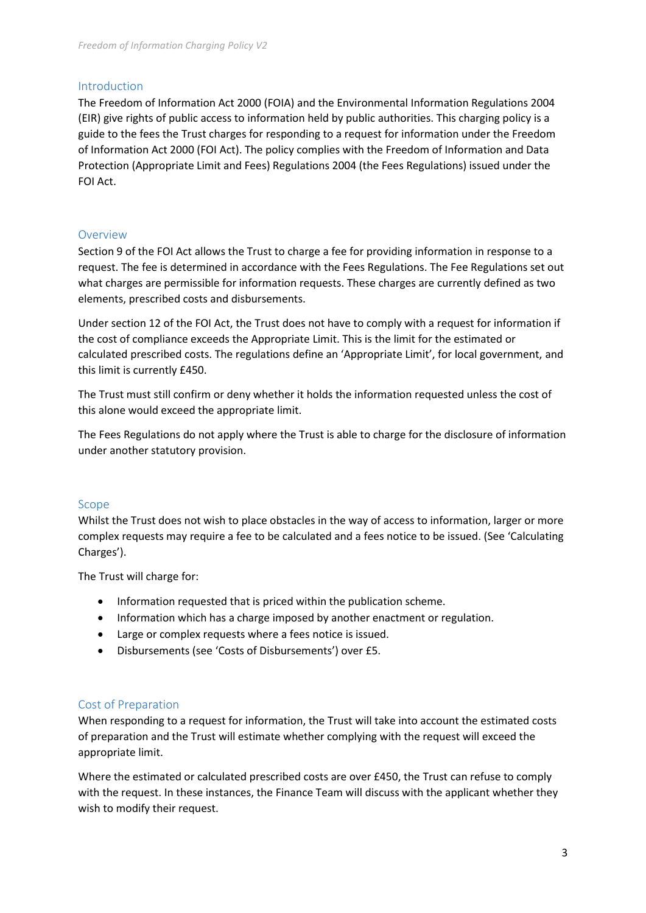#### <span id="page-2-0"></span>Introduction

The Freedom of Information Act 2000 (FOIA) and the Environmental Information Regulations 2004 (EIR) give rights of public access to information held by public authorities. This charging policy is a guide to the fees the Trust charges for responding to a request for information under the Freedom of Information Act 2000 (FOI Act). The policy complies with the Freedom of Information and Data Protection (Appropriate Limit and Fees) Regulations 2004 (the Fees Regulations) issued under the FOI Act.

## <span id="page-2-1"></span>Overview

Section 9 of the FOI Act allows the Trust to charge a fee for providing information in response to a request. The fee is determined in accordance with the Fees Regulations. The Fee Regulations set out what charges are permissible for information requests. These charges are currently defined as two elements, prescribed costs and disbursements.

Under section 12 of the FOI Act, the Trust does not have to comply with a request for information if the cost of compliance exceeds the Appropriate Limit. This is the limit for the estimated or calculated prescribed costs. The regulations define an 'Appropriate Limit', for local government, and this limit is currently £450.

The Trust must still confirm or deny whether it holds the information requested unless the cost of this alone would exceed the appropriate limit.

The Fees Regulations do not apply where the Trust is able to charge for the disclosure of information under another statutory provision.

#### <span id="page-2-2"></span>Scope

Whilst the Trust does not wish to place obstacles in the way of access to information, larger or more complex requests may require a fee to be calculated and a fees notice to be issued. (See 'Calculating Charges').

The Trust will charge for:

- Information requested that is priced within the publication scheme.
- Information which has a charge imposed by another enactment or regulation.
- Large or complex requests where a fees notice is issued.
- Disbursements (see 'Costs of Disbursements') over £5.

## <span id="page-2-3"></span>Cost of Preparation

When responding to a request for information, the Trust will take into account the estimated costs of preparation and the Trust will estimate whether complying with the request will exceed the appropriate limit.

Where the estimated or calculated prescribed costs are over £450, the Trust can refuse to comply with the request. In these instances, the Finance Team will discuss with the applicant whether they wish to modify their request.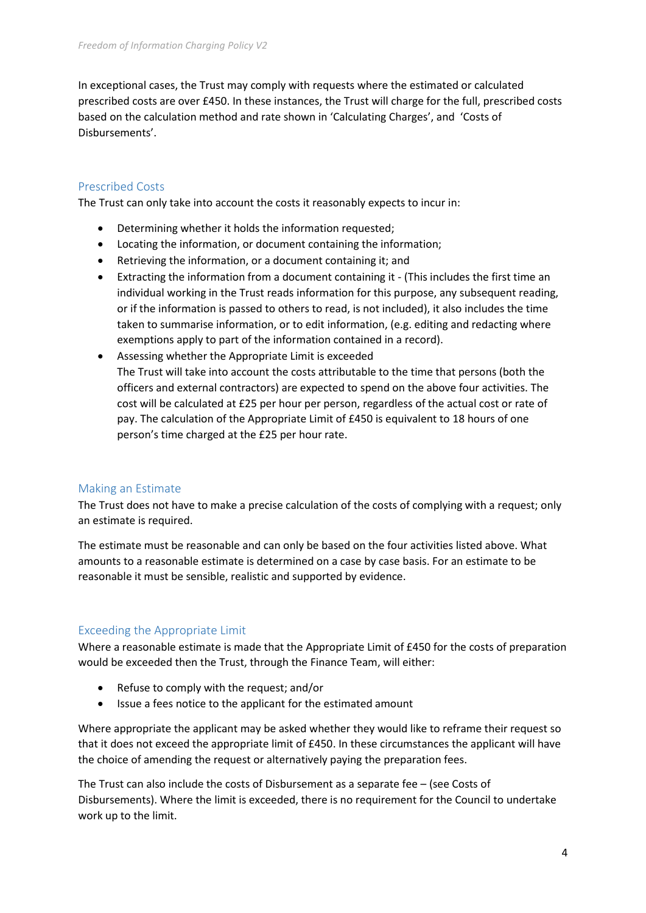In exceptional cases, the Trust may comply with requests where the estimated or calculated prescribed costs are over £450. In these instances, the Trust will charge for the full, prescribed costs based on the calculation method and rate shown in 'Calculating Charges', and 'Costs of Disbursements'.

# <span id="page-3-0"></span>Prescribed Costs

The Trust can only take into account the costs it reasonably expects to incur in:

- Determining whether it holds the information requested;
- Locating the information, or document containing the information;
- Retrieving the information, or a document containing it; and
- Extracting the information from a document containing it (This includes the first time an individual working in the Trust reads information for this purpose, any subsequent reading, or if the information is passed to others to read, is not included), it also includes the time taken to summarise information, or to edit information, (e.g. editing and redacting where exemptions apply to part of the information contained in a record).
- Assessing whether the Appropriate Limit is exceeded The Trust will take into account the costs attributable to the time that persons (both the officers and external contractors) are expected to spend on the above four activities. The cost will be calculated at £25 per hour per person, regardless of the actual cost or rate of pay. The calculation of the Appropriate Limit of £450 is equivalent to 18 hours of one person's time charged at the £25 per hour rate.

## <span id="page-3-1"></span>Making an Estimate

The Trust does not have to make a precise calculation of the costs of complying with a request; only an estimate is required.

The estimate must be reasonable and can only be based on the four activities listed above. What amounts to a reasonable estimate is determined on a case by case basis. For an estimate to be reasonable it must be sensible, realistic and supported by evidence.

## <span id="page-3-2"></span>Exceeding the Appropriate Limit

Where a reasonable estimate is made that the Appropriate Limit of £450 for the costs of preparation would be exceeded then the Trust, through the Finance Team, will either:

- Refuse to comply with the request; and/or
- Issue a fees notice to the applicant for the estimated amount

Where appropriate the applicant may be asked whether they would like to reframe their request so that it does not exceed the appropriate limit of £450. In these circumstances the applicant will have the choice of amending the request or alternatively paying the preparation fees.

The Trust can also include the costs of Disbursement as a separate fee – (see Costs of Disbursements). Where the limit is exceeded, there is no requirement for the Council to undertake work up to the limit.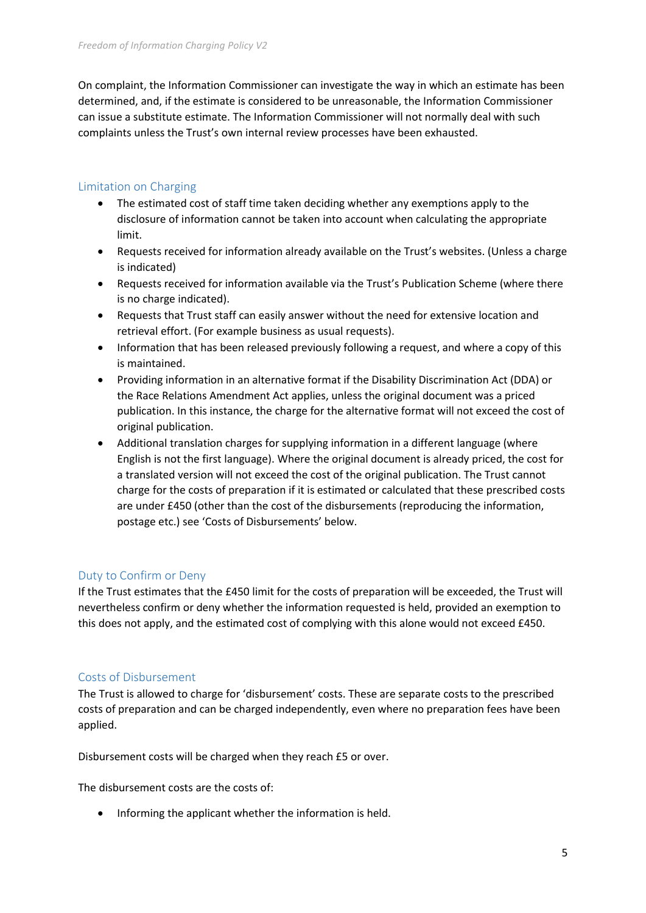On complaint, the Information Commissioner can investigate the way in which an estimate has been determined, and, if the estimate is considered to be unreasonable, the Information Commissioner can issue a substitute estimate. The Information Commissioner will not normally deal with such complaints unless the Trust's own internal review processes have been exhausted.

# <span id="page-4-0"></span>Limitation on Charging

- The estimated cost of staff time taken deciding whether any exemptions apply to the disclosure of information cannot be taken into account when calculating the appropriate limit.
- Requests received for information already available on the Trust's websites. (Unless a charge is indicated)
- Requests received for information available via the Trust's Publication Scheme (where there is no charge indicated).
- Requests that Trust staff can easily answer without the need for extensive location and retrieval effort. (For example business as usual requests).
- Information that has been released previously following a request, and where a copy of this is maintained.
- Providing information in an alternative format if the Disability Discrimination Act (DDA) or the Race Relations Amendment Act applies, unless the original document was a priced publication. In this instance, the charge for the alternative format will not exceed the cost of original publication.
- Additional translation charges for supplying information in a different language (where English is not the first language). Where the original document is already priced, the cost for a translated version will not exceed the cost of the original publication. The Trust cannot charge for the costs of preparation if it is estimated or calculated that these prescribed costs are under £450 (other than the cost of the disbursements (reproducing the information, postage etc.) see 'Costs of Disbursements' below.

# <span id="page-4-1"></span>Duty to Confirm or Deny

If the Trust estimates that the £450 limit for the costs of preparation will be exceeded, the Trust will nevertheless confirm or deny whether the information requested is held, provided an exemption to this does not apply, and the estimated cost of complying with this alone would not exceed £450.

# <span id="page-4-2"></span>Costs of Disbursement

The Trust is allowed to charge for 'disbursement' costs. These are separate costs to the prescribed costs of preparation and can be charged independently, even where no preparation fees have been applied.

Disbursement costs will be charged when they reach £5 or over.

The disbursement costs are the costs of:

• Informing the applicant whether the information is held.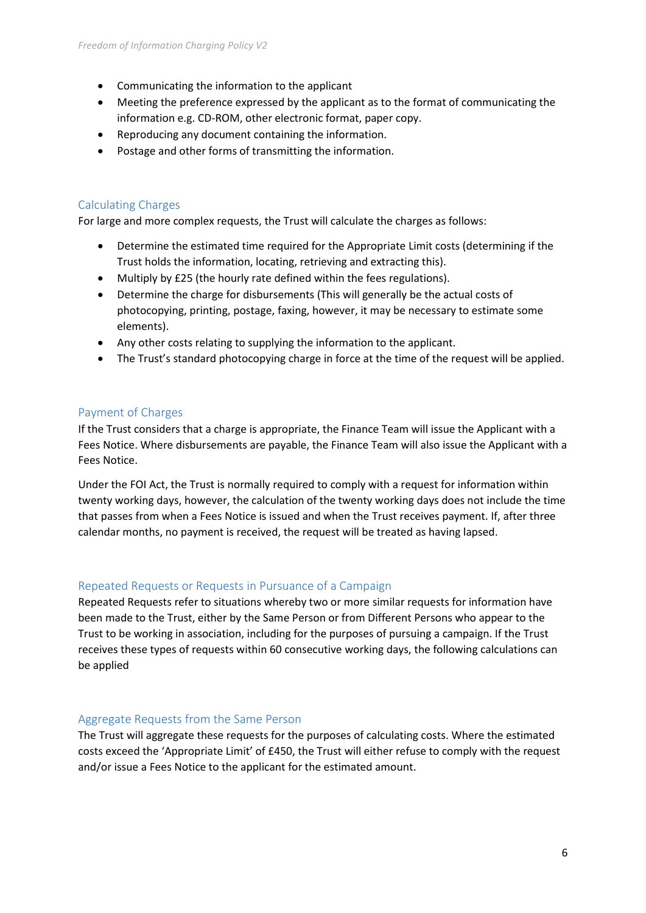- Communicating the information to the applicant
- Meeting the preference expressed by the applicant as to the format of communicating the information e.g. CD-ROM, other electronic format, paper copy.
- Reproducing any document containing the information.
- Postage and other forms of transmitting the information.

# <span id="page-5-0"></span>Calculating Charges

For large and more complex requests, the Trust will calculate the charges as follows:

- Determine the estimated time required for the Appropriate Limit costs (determining if the Trust holds the information, locating, retrieving and extracting this).
- Multiply by £25 (the hourly rate defined within the fees regulations).
- Determine the charge for disbursements (This will generally be the actual costs of photocopying, printing, postage, faxing, however, it may be necessary to estimate some elements).
- Any other costs relating to supplying the information to the applicant.
- The Trust's standard photocopying charge in force at the time of the request will be applied.

# <span id="page-5-1"></span>Payment of Charges

If the Trust considers that a charge is appropriate, the Finance Team will issue the Applicant with a Fees Notice. Where disbursements are payable, the Finance Team will also issue the Applicant with a Fees Notice.

Under the FOI Act, the Trust is normally required to comply with a request for information within twenty working days, however, the calculation of the twenty working days does not include the time that passes from when a Fees Notice is issued and when the Trust receives payment. If, after three calendar months, no payment is received, the request will be treated as having lapsed.

# <span id="page-5-2"></span>Repeated Requests or Requests in Pursuance of a Campaign

Repeated Requests refer to situations whereby two or more similar requests for information have been made to the Trust, either by the Same Person or from Different Persons who appear to the Trust to be working in association, including for the purposes of pursuing a campaign. If the Trust receives these types of requests within 60 consecutive working days, the following calculations can be applied

## <span id="page-5-3"></span>Aggregate Requests from the Same Person

The Trust will aggregate these requests for the purposes of calculating costs. Where the estimated costs exceed the 'Appropriate Limit' of £450, the Trust will either refuse to comply with the request and/or issue a Fees Notice to the applicant for the estimated amount.